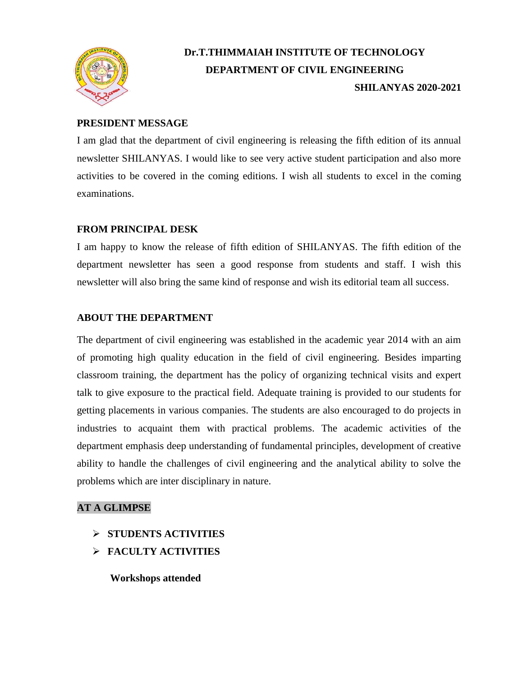

# **Dr.T.THIMMAIAH INSTITUTE OF TECHNOLOGY DEPARTMENT OF CIVIL ENGINEERING SHILANYAS 2020-2021**

## **PRESIDENT MESSAGE**

I am glad that the department of civil engineering is releasing the fifth edition of its annual newsletter SHILANYAS. I would like to see very active student participation and also more activities to be covered in the coming editions. I wish all students to excel in the coming examinations.

## **FROM PRINCIPAL DESK**

I am happy to know the release of fifth edition of SHILANYAS. The fifth edition of the department newsletter has seen a good response from students and staff. I wish this newsletter will also bring the same kind of response and wish its editorial team all success.

# **ABOUT THE DEPARTMENT**

The department of civil engineering was established in the academic year 2014 with an aim of promoting high quality education in the field of civil engineering. Besides imparting classroom training, the department has the policy of organizing technical visits and expert talk to give exposure to the practical field. Adequate training is provided to our students for getting placements in various companies. The students are also encouraged to do projects in industries to acquaint them with practical problems. The academic activities of the department emphasis deep understanding of fundamental principles, development of creative ability to handle the challenges of civil engineering and the analytical ability to solve the problems which are inter disciplinary in nature.

## **AT A GLIMPSE**

- **STUDENTS ACTIVITIES**
- **FACULTY ACTIVITIES**

 **Workshops attended**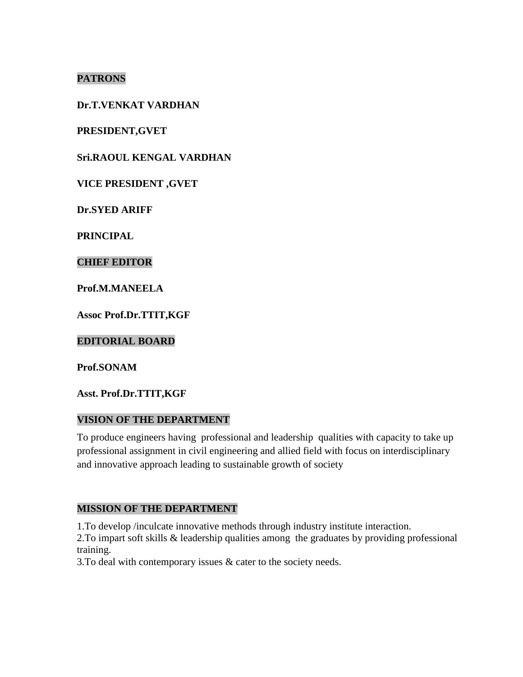# **PATRONS**

### **Dr.T.VENKAT VARDHAN**

**PRESIDENT,GVET**

**Sri.RAOUL KENGAL VARDHAN** 

**VICE PRESIDENT ,GVET**

**Dr.SYED ARIFF**

**PRINCIPAL**

#### **CHIEF EDITOR**

**Prof.M.MANEELA**

**Assoc Prof.Dr.TTIT,KGF**

**EDITORIAL BOARD**

**Prof.SONAM**

**Asst. Prof.Dr.TTIT,KGF**

#### **VISION OF THE DEPARTMENT**

To produce engineers having professional and leadership qualities with capacity to take up professional assignment in civil engineering and allied field with focus on interdisciplinary and innovative approach leading to sustainable growth of society

#### **MISSION OF THE DEPARTMENT**

1.To develop /inculcate innovative methods through industry institute interaction.

2.To impart soft skills & leadership qualities among the graduates by providing professional training.

3.To deal with contemporary issues & cater to the society needs.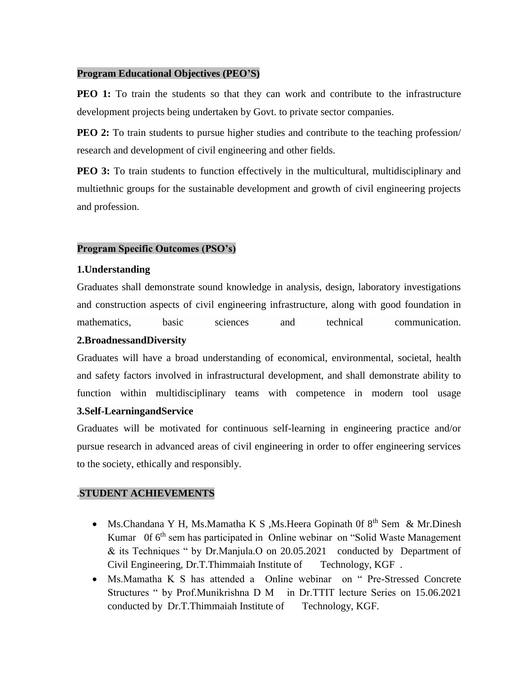#### **Program Educational Objectives (PEO'S)**

**PEO 1:** To train the students so that they can work and contribute to the infrastructure development projects being undertaken by Govt. to private sector companies.

**PEO 2:** To train students to pursue higher studies and contribute to the teaching profession research and development of civil engineering and other fields.

**PEO 3:** To train students to function effectively in the multicultural, multidisciplinary and multiethnic groups for the sustainable development and growth of civil engineering projects and profession.

#### **Program Specific Outcomes (PSO's)**

#### **1.Understanding**

Graduates shall demonstrate sound knowledge in analysis, design, laboratory investigations and construction aspects of civil engineering infrastructure, along with good foundation in mathematics, basic sciences and technical communication.

#### **2.BroadnessandDiversity**

Graduates will have a broad understanding of economical, environmental, societal, health and safety factors involved in infrastructural development, and shall demonstrate ability to function within multidisciplinary teams with competence in modern tool usage

#### **3.Self-LearningandService**

Graduates will be motivated for continuous self-learning in engineering practice and/or pursue research in advanced areas of civil engineering in order to offer engineering services to the society, ethically and responsibly.

#### .**STUDENT ACHIEVEMENTS**

- Ms.Chandana Y H, Ms.Mamatha K S , Ms.Heera Gopinath 0f  $8<sup>th</sup>$  Sem & Mr.Dinesh Kumar 0f 6<sup>th</sup> sem has participated in Online webinar on "Solid Waste Management & its Techniques " by Dr.Manjula.O on 20.05.2021 conducted by Department of Civil Engineering, Dr.T.Thimmaiah Institute of Technology, KGF .
- Ms.Mamatha K S has attended a Online webinar on " Pre-Stressed Concrete Structures " by Prof.Munikrishna D M in Dr.TTIT lecture Series on 15.06.2021 conducted by Dr.T.Thimmaiah Institute of Technology, KGF.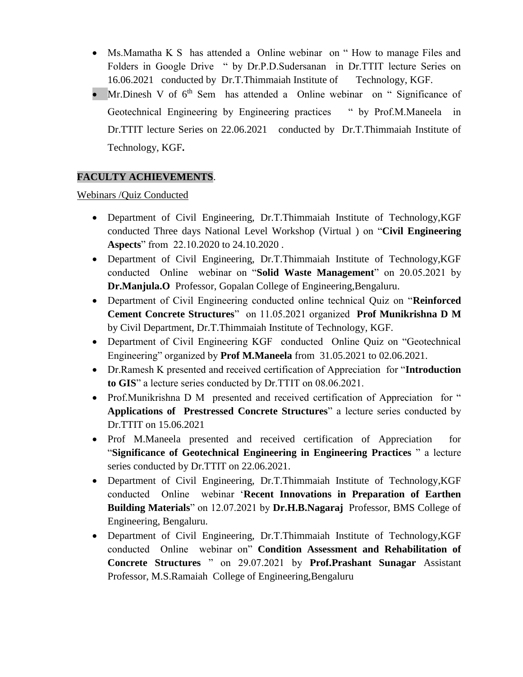- Ms.Mamatha K S has attended a Online webinar on " How to manage Files and Folders in Google Drive " by Dr.P.D.Sudersanan in Dr.TTIT lecture Series on 16.06.2021 conducted by Dr.T.Thimmaiah Institute of Technology, KGF.
- Mr.Dinesh V of  $6<sup>th</sup>$  Sem has attended a Online webinar on "Significance of Geotechnical Engineering by Engineering practices " by Prof.M.Maneela in Dr.TTIT lecture Series on 22.06.2021 conducted by Dr.T.Thimmaiah Institute of Technology, KGF**.**

# **FACULTY ACHIEVEMENTS**.

Webinars /Quiz Conducted

- Department of Civil Engineering, Dr.T.Thimmaiah Institute of Technology,KGF conducted Three days National Level Workshop (Virtual ) on "**Civil Engineering Aspects**" from 22.10.2020 to 24.10.2020 .
- Department of Civil Engineering, Dr.T.Thimmaiah Institute of Technology,KGF conducted Online webinar on "**Solid Waste Management**" on 20.05.2021 by **Dr.Manjula.O** Professor, Gopalan College of Engineering,Bengaluru.
- Department of Civil Engineering conducted online technical Quiz on "**Reinforced Cement Concrete Structures**" on 11.05.2021 organized **Prof Munikrishna D M** by Civil Department, Dr.T.Thimmaiah Institute of Technology, KGF.
- Department of Civil Engineering KGF conducted Online Quiz on "Geotechnical Engineering" organized by **Prof M.Maneela** from 31.05.2021 to 02.06.2021.
- Dr.Ramesh K presented and received certification of Appreciation for "**Introduction to GIS**" a lecture series conducted by Dr.TTIT on 08.06.2021.
- Prof.Munikrishna D M presented and received certification of Appreciation for " **Applications of Prestressed Concrete Structures**" a lecture series conducted by Dr.TTIT on 15.06.2021
- Prof M.Maneela presented and received certification of Appreciation for "**Significance of Geotechnical Engineering in Engineering Practices** " a lecture series conducted by Dr.TTIT on 22.06.2021.
- Department of Civil Engineering, Dr.T.Thimmaiah Institute of Technology,KGF conducted Online webinar '**Recent Innovations in Preparation of Earthen Building Materials**" on 12.07.2021 by **Dr.H.B.Nagaraj** Professor, BMS College of Engineering, Bengaluru.
- Department of Civil Engineering, Dr.T.Thimmaiah Institute of Technology,KGF conducted Online webinar on" **Condition Assessment and Rehabilitation of Concrete Structures** " on 29.07.2021 by **Prof.Prashant Sunagar** Assistant Professor, M.S.Ramaiah College of Engineering,Bengaluru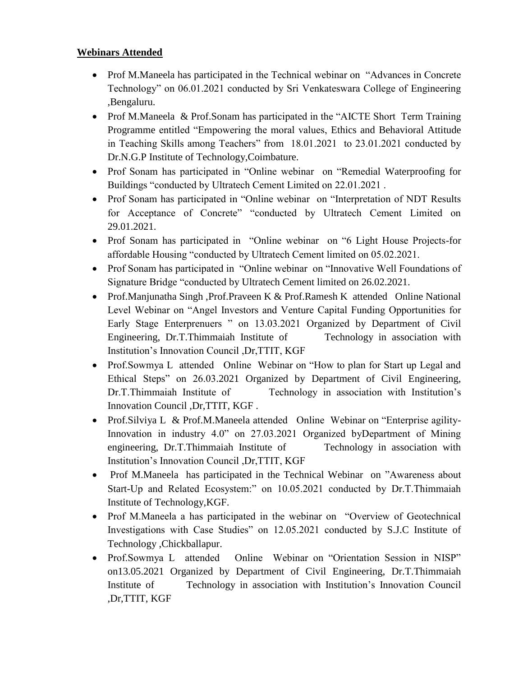## **Webinars Attended**

- Prof M.Maneela has participated in the Technical webinar on "Advances in Concrete Technology" on 06.01.2021 conducted by Sri Venkateswara College of Engineering ,Bengaluru.
- Prof M.Maneela & Prof.Sonam has participated in the "AICTE Short Term Training Programme entitled "Empowering the moral values, Ethics and Behavioral Attitude in Teaching Skills among Teachers" from 18.01.2021 to 23.01.2021 conducted by Dr.N.G.P Institute of Technology,Coimbature.
- Prof Sonam has participated in "Online webinar on "Remedial Waterproofing for Buildings "conducted by Ultratech Cement Limited on 22.01.2021 .
- Prof Sonam has participated in "Online webinar on "Interpretation of NDT Results" for Acceptance of Concrete" "conducted by Ultratech Cement Limited on 29.01.2021.
- Prof Sonam has participated in "Online webinar on "6 Light House Projects-for affordable Housing "conducted by Ultratech Cement limited on 05.02.2021.
- Prof Sonam has participated in "Online webinar on "Innovative Well Foundations of Signature Bridge "conducted by Ultratech Cement limited on 26.02.2021.
- Prof.Manjunatha Singh ,Prof.Praveen K & Prof.Ramesh K attended Online National Level Webinar on "Angel Investors and Venture Capital Funding Opportunities for Early Stage Enterprenuers " on 13.03.2021 Organized by Department of Civil Engineering, Dr.T.Thimmaiah Institute of Technology in association with Institution's Innovation Council ,Dr,TTIT, KGF
- Prof.Sowmya L attended Online Webinar on "How to plan for Start up Legal and Ethical Steps" on 26.03.2021 Organized by Department of Civil Engineering, Dr.T.Thimmaiah Institute of Technology in association with Institution's Innovation Council ,Dr,TTIT, KGF .
- Prof.Silviya L & Prof.M.Maneela attended Online Webinar on "Enterprise agility-Innovation in industry 4.0" on 27.03.2021 Organized byDepartment of Mining engineering, Dr.T.Thimmaiah Institute of Technology in association with Institution's Innovation Council ,Dr,TTIT, KGF
- Prof M.Maneela has participated in the Technical Webinar on "Awareness about Start-Up and Related Ecosystem:" on 10.05.2021 conducted by Dr.T.Thimmaiah Institute of Technology,KGF.
- Prof M.Maneela a has participated in the webinar on "Overview of Geotechnical" Investigations with Case Studies" on 12.05.2021 conducted by S.J.C Institute of Technology ,Chickballapur.
- Prof.Sowmya L attended Online Webinar on "Orientation Session in NISP" on13.05.2021 Organized by Department of Civil Engineering, Dr.T.Thimmaiah Institute of Technology in association with Institution's Innovation Council ,Dr,TTIT, KGF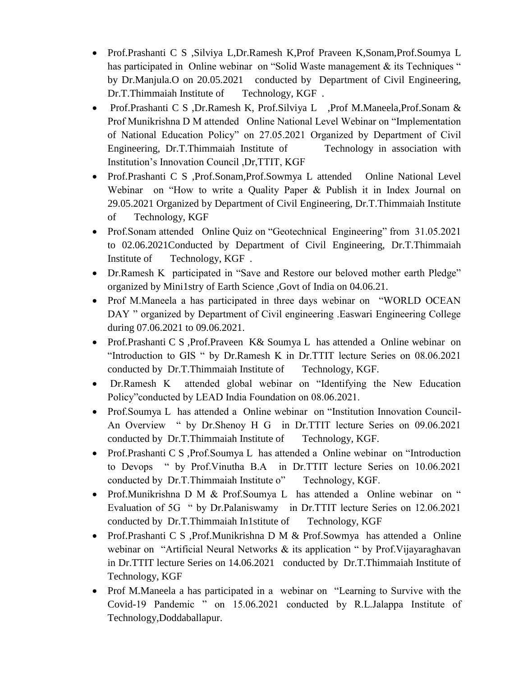- Prof.Prashanti C S ,Silviya L,Dr.Ramesh K,Prof Praveen K,Sonam,Prof.Soumya L has participated in Online webinar on "Solid Waste management & its Techniques " by Dr.Manjula.O on 20.05.2021 conducted by Department of Civil Engineering, Dr.T.Thimmaiah Institute of Technology, KGF .
- Prof.Prashanti C S ,Dr.Ramesh K, Prof.Silviya L ,Prof M.Maneela,Prof.Sonam & Prof Munikrishna D M attended Online National Level Webinar on "Implementation of National Education Policy" on 27.05.2021 Organized by Department of Civil Engineering, Dr.T.Thimmaiah Institute of Technology in association with Institution's Innovation Council ,Dr,TTIT, KGF
- Prof.Prashanti C S ,Prof.Sonam,Prof.Sowmya L attended Online National Level Webinar on "How to write a Quality Paper & Publish it in Index Journal on 29.05.2021 Organized by Department of Civil Engineering, Dr.T.Thimmaiah Institute of Technology, KGF
- Prof.Sonam attended Online Quiz on "Geotechnical Engineering" from 31.05.2021 to 02.06.2021Conducted by Department of Civil Engineering, Dr.T.Thimmaiah Institute of Technology, KGF .
- Dr.Ramesh K participated in "Save and Restore our beloved mother earth Pledge" organized by Mini1stry of Earth Science ,Govt of India on 04.06.21.
- Prof M.Maneela a has participated in three days webinar on "WORLD OCEAN DAY " organized by Department of Civil engineering .Easwari Engineering College during 07.06.2021 to 09.06.2021.
- Prof.Prashanti C S ,Prof.Praveen K& Soumya L has attended a Online webinar on "Introduction to GIS " by Dr.Ramesh K in Dr.TTIT lecture Series on 08.06.2021 conducted by Dr.T.Thimmaiah Institute of Technology, KGF.
- Dr.Ramesh K attended global webinar on "Identifying the New Education Policy"conducted by LEAD India Foundation on 08.06.2021.
- Prof.Soumya L has attended a Online webinar on "Institution Innovation Council-An Overview " by Dr.Shenoy H G in Dr.TTIT lecture Series on 09.06.2021 conducted by Dr.T.Thimmaiah Institute of Technology, KGF.
- Prof.Prashanti C S ,Prof.Soumya L has attended a Online webinar on "Introduction" to Devops " by Prof.Vinutha B.A in Dr.TTIT lecture Series on 10.06.2021 conducted by Dr.T.Thimmaiah Institute o" Technology, KGF.
- Prof.Munikrishna D M & Prof.Soumya L has attended a Online webinar on " Evaluation of 5G " by Dr.Palaniswamy in Dr.TTIT lecture Series on 12.06.2021 conducted by Dr.T.Thimmaiah In1stitute of Technology, KGF
- Prof.Prashanti C S ,Prof.Munikrishna D M & Prof.Sowmya has attended a Online webinar on "Artificial Neural Networks & its application " by Prof. Vijayaraghavan in Dr.TTIT lecture Series on 14.06.2021 conducted by Dr.T.Thimmaiah Institute of Technology, KGF
- Prof M.Maneela a has participated in a webinar on "Learning to Survive with the Covid-19 Pandemic " on 15.06.2021 conducted by R.L.Jalappa Institute of Technology,Doddaballapur.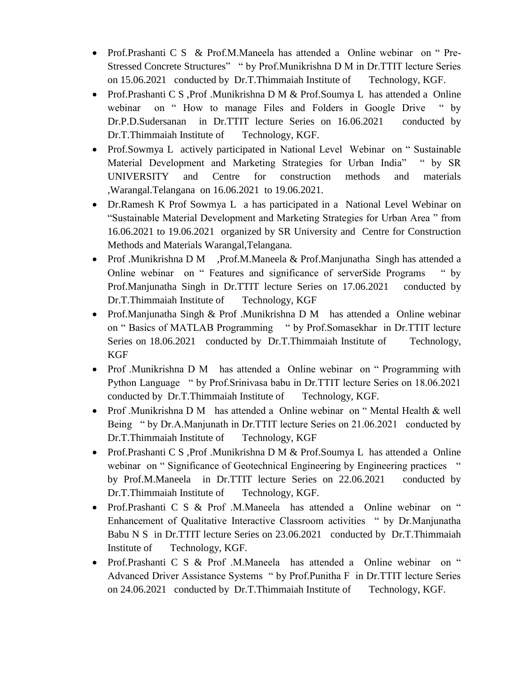- Prof.Prashanti C S & Prof.M.Maneela has attended a Online webinar on "Pre-Stressed Concrete Structures" " by Prof.Munikrishna D M in Dr.TTIT lecture Series on 15.06.2021 conducted by Dr.T.Thimmaiah Institute of Technology, KGF.
- Prof.Prashanti C S ,Prof .Munikrishna D M & Prof.Soumya L has attended a Online webinar on " How to manage Files and Folders in Google Drive " by Dr.P.D.Sudersanan in Dr.TTIT lecture Series on 16.06.2021 conducted by Dr.T.Thimmaiah Institute of Technology, KGF.
- Prof.Sowmya L actively participated in National Level Webinar on "Sustainable Material Development and Marketing Strategies for Urban India" " by SR UNIVERSITY and Centre for construction methods and materials ,Warangal.Telangana on 16.06.2021 to 19.06.2021.
- Dr.Ramesh K Prof Sowmya L a has participated in a National Level Webinar on "Sustainable Material Development and Marketing Strategies for Urban Area " from 16.06.2021 to 19.06.2021 organized by SR University and Centre for Construction Methods and Materials Warangal,Telangana.
- Prof .Munikrishna D M ,Prof.M.Maneela & Prof.Manjunatha Singh has attended a Online webinar on " Features and significance of serverSide Programs " by Prof.Manjunatha Singh in Dr.TTIT lecture Series on 17.06.2021 conducted by Dr.T.Thimmaiah Institute of Technology, KGF
- Prof.Manjunatha Singh & Prof.Munikrishna D M has attended a Online webinar on " Basics of MATLAB Programming " by Prof.Somasekhar in Dr.TTIT lecture Series on 18.06.2021 conducted by Dr.T.Thimmaiah Institute of Technology, KGF
- Prof .Munikrishna D M has attended a Online webinar on "Programming with Python Language " by Prof.Srinivasa babu in Dr.TTIT lecture Series on 18.06.2021 conducted by Dr.T.Thimmaiah Institute of Technology, KGF.
- Prof .Munikrishna D M has attended a Online webinar on "Mental Health & well Being " by Dr.A.Manjunath in Dr.TTIT lecture Series on 21.06.2021 conducted by Dr.T.Thimmaiah Institute of Technology, KGF
- Prof.Prashanti C S ,Prof .Munikrishna D M & Prof.Soumya L has attended a Online webinar on "Significance of Geotechnical Engineering by Engineering practices " by Prof.M.Maneela in Dr.TTIT lecture Series on 22.06.2021 conducted by Dr.T.Thimmaiah Institute of Technology, KGF.
- Prof.Prashanti C S & Prof .M.Maneela has attended a Online webinar on " Enhancement of Qualitative Interactive Classroom activities " by Dr.Manjunatha Babu N S in Dr.TTIT lecture Series on 23.06.2021 conducted by Dr.T.Thimmaiah Institute of Technology, KGF.
- Prof.Prashanti C S & Prof .M.Maneela has attended a Online webinar on " Advanced Driver Assistance Systems " by Prof.Punitha F in Dr.TTIT lecture Series on 24.06.2021 conducted by Dr.T.Thimmaiah Institute of Technology, KGF.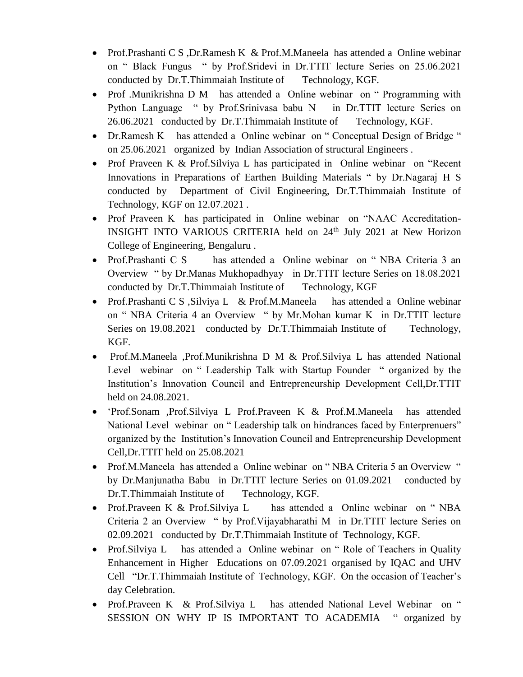- Prof.Prashanti C S ,Dr.Ramesh K & Prof.M.Maneela has attended a Online webinar on " Black Fungus " by Prof.Sridevi in Dr.TTIT lecture Series on 25.06.2021 conducted by Dr.T.Thimmaiah Institute of Technology, KGF.
- Prof .Munikrishna D M has attended a Online webinar on "Programming with Python Language " by Prof.Srinivasa babu N in Dr.TTIT lecture Series on 26.06.2021 conducted by Dr.T.Thimmaiah Institute of Technology, KGF.
- Dr.Ramesh K has attended a Online webinar on "Conceptual Design of Bridge " on 25.06.2021 organized by Indian Association of structural Engineers .
- Prof Praveen K & Prof. Silviya L has participated in Online webinar on "Recent" Innovations in Preparations of Earthen Building Materials " by Dr.Nagaraj H S conducted by Department of Civil Engineering, Dr.T.Thimmaiah Institute of Technology, KGF on 12.07.2021 .
- Prof Praveen K has participated in Online webinar on "NAAC Accreditation-INSIGHT INTO VARIOUS CRITERIA held on 24<sup>th</sup> July 2021 at New Horizon College of Engineering, Bengaluru .
- Prof.Prashanti C S has attended a Online webinar on "NBA Criteria 3 an Overview " by Dr.Manas Mukhopadhyay in Dr.TTIT lecture Series on 18.08.2021 conducted by Dr.T.Thimmaiah Institute of Technology, KGF
- Prof.Prashanti C S , Silviya L & Prof.M.Maneela has attended a Online webinar on " NBA Criteria 4 an Overview " by Mr.Mohan kumar K in Dr.TTIT lecture Series on 19.08.2021 conducted by Dr.T.Thimmaiah Institute of Technology, KGF.
- Prof.M.Maneela ,Prof.Munikrishna D M & Prof.Silviya L has attended National Level webinar on " Leadership Talk with Startup Founder " organized by the Institution's Innovation Council and Entrepreneurship Development Cell,Dr.TTIT held on 24.08.2021.
- 'Prof.Sonam ,Prof.Silviya L Prof.Praveen K & Prof.M.Maneela has attended National Level webinar on " Leadership talk on hindrances faced by Enterprenuers" organized by the Institution's Innovation Council and Entrepreneurship Development Cell,Dr.TTIT held on 25.08.2021
- Prof.M.Maneela has attended a Online webinar on "NBA Criteria 5 an Overview " by Dr.Manjunatha Babu in Dr.TTIT lecture Series on 01.09.2021 conducted by Dr.T.Thimmaiah Institute of Technology, KGF.
- Prof.Praveen K & Prof.Silviya L has attended a Online webinar on "NBA Criteria 2 an Overview " by Prof.Vijayabharathi M in Dr.TTIT lecture Series on 02.09.2021 conducted by Dr.T.Thimmaiah Institute of Technology, KGF.
- Prof. Silviya L has attended a Online webinar on "Role of Teachers in Quality Enhancement in Higher Educations on 07.09.2021 organised by IQAC and UHV Cell "Dr.T.Thimmaiah Institute of Technology, KGF. On the occasion of Teacher's day Celebration.
- Prof.Praveen K & Prof.Silviya L has attended National Level Webinar on " SESSION ON WHY IP IS IMPORTANT TO ACADEMIA " organized by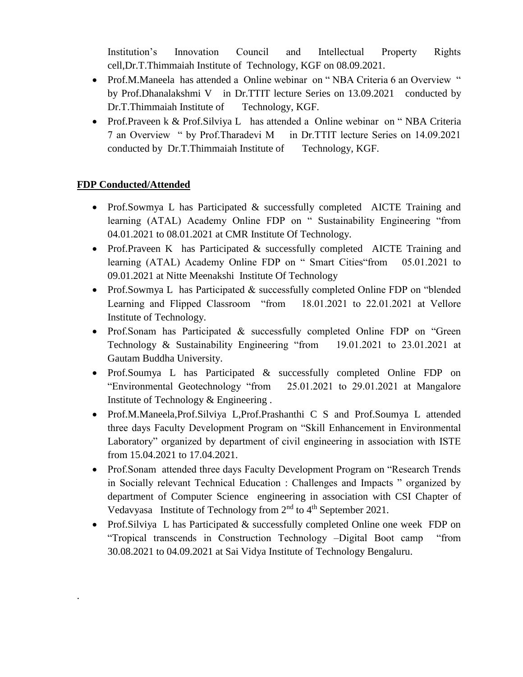Institution's Innovation Council and Intellectual Property Rights cell,Dr.T.Thimmaiah Institute of Technology, KGF on 08.09.2021.

- Prof.M.Maneela has attended a Online webinar on "NBA Criteria 6 an Overview " by Prof.Dhanalakshmi V in Dr.TTIT lecture Series on 13.09.2021 conducted by Dr.T.Thimmaiah Institute of Technology, KGF.
- Prof.Praveen k & Prof.Silviya L has attended a Online webinar on "NBA Criteria 7 an Overview " by Prof.Tharadevi M in Dr.TTIT lecture Series on 14.09.2021 conducted by Dr.T.Thimmaiah Institute of Technology, KGF.

# **FDP Conducted/Attended**

.

- Prof.Sowmya L has Participated & successfully completed AICTE Training and learning (ATAL) Academy Online FDP on " Sustainability Engineering "from 04.01.2021 to 08.01.2021 at CMR Institute Of Technology.
- Prof.Praveen K has Participated & successfully completed AICTE Training and learning (ATAL) Academy Online FDP on " Smart Cities"from 05.01.2021 to 09.01.2021 at Nitte Meenakshi Institute Of Technology
- Prof.Sowmya L has Participated & successfully completed Online FDP on "blended" Learning and Flipped Classroom "from 18.01.2021 to 22.01.2021 at Vellore Institute of Technology.
- Prof.Sonam has Participated & successfully completed Online FDP on "Green" Technology & Sustainability Engineering "from 19.01.2021 to 23.01.2021 at Gautam Buddha University.
- Prof.Soumya L has Participated & successfully completed Online FDP on "Environmental Geotechnology "from 25.01.2021 to 29.01.2021 at Mangalore Institute of Technology & Engineering .
- Prof.M.Maneela,Prof.Silviya L,Prof.Prashanthi C S and Prof.Soumya L attended three days Faculty Development Program on "Skill Enhancement in Environmental Laboratory" organized by department of civil engineering in association with ISTE from 15.04.2021 to 17.04.2021.
- Prof.Sonam attended three days Faculty Development Program on "Research Trends" in Socially relevant Technical Education : Challenges and Impacts " organized by department of Computer Science engineering in association with CSI Chapter of Vedavyasa Institute of Technology from  $2<sup>nd</sup>$  to  $4<sup>th</sup>$  September 2021.
- Prof. Silviya L has Participated & successfully completed Online one week FDP on "Tropical transcends in Construction Technology –Digital Boot camp "from 30.08.2021 to 04.09.2021 at Sai Vidya Institute of Technology Bengaluru.